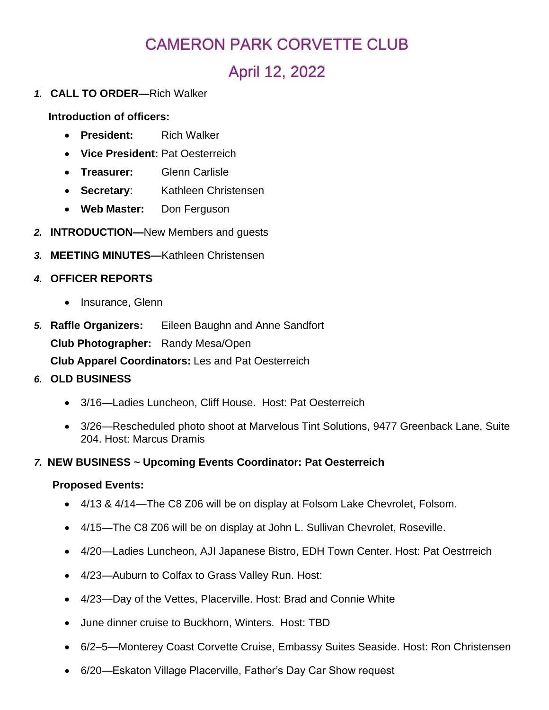# CAMERON PARK CORVETTE CLUB

# April 12, 2022

*1.* **CALL TO ORDER—**Rich Walker

**Introduction of officers:**

- **President:** Rich Walker
- **Vice President:** Pat Oesterreich
- **Treasurer:** Glenn Carlisle
- **Secretary**: Kathleen Christensen
- **Web Master:** Don Ferguson
- *2.* **INTRODUCTION—**New Members and guests
- *3.* **MEETING MINUTES—**Kathleen Christensen
- *4.* **OFFICER REPORTS**
	- Insurance, Glenn
- *5.* **Raffle Organizers:** Eileen Baughn and Anne Sandfort **Club Photographer:** Randy Mesa/Open **Club Apparel Coordinators:** Les and Pat Oesterreich

## *6.* **OLD BUSINESS**

- 3/16—Ladies Luncheon, Cliff House. Host: Pat Oesterreich
- 3/26—Rescheduled photo shoot at Marvelous Tint Solutions, 9477 Greenback Lane, Suite 204. Host: Marcus Dramis
- *7.* **NEW BUSINESS ~ Upcoming Events Coordinator: Pat Oesterreich**

#### **Proposed Events:**

- 4/13 & 4/14—The C8 Z06 will be on display at Folsom Lake Chevrolet, Folsom.
- 4/15—The C8 Z06 will be on display at John L. Sullivan Chevrolet, Roseville.
- 4/20—Ladies Luncheon, AJI Japanese Bistro, EDH Town Center. Host: Pat Oestrreich
- 4/23—Auburn to Colfax to Grass Valley Run. Host:
- 4/23—Day of the Vettes, Placerville. Host: Brad and Connie White
- June dinner cruise to Buckhorn, Winters. Host: TBD
- 6/2–5—Monterey Coast Corvette Cruise, Embassy Suites Seaside. Host: Ron Christensen
- 6/20—Eskaton Village Placerville, Father's Day Car Show request